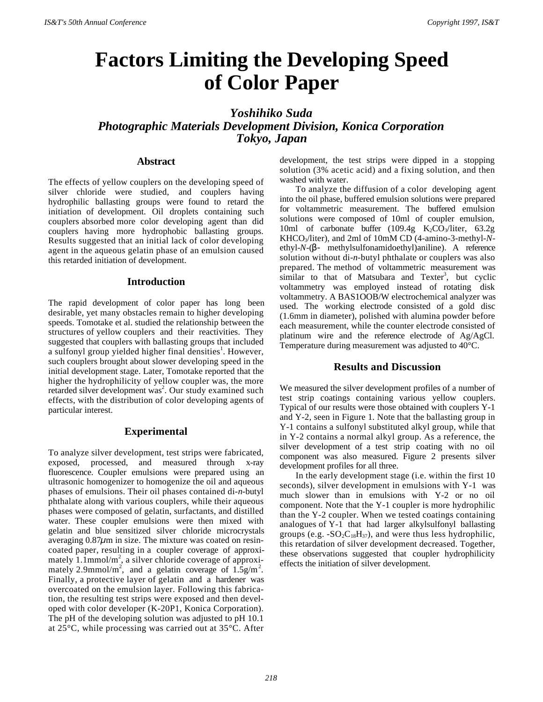# **Factors Limiting the Developing Speed of Color Paper**

# *Yoshihiko Suda Photographic Materials Development Division, Konica Corporation Tokyo, Japan*

# **Abstract**

The effects of yellow couplers on the developing speed of silver chloride were studied, and couplers having hydrophilic ballasting groups were found to retard the initiation of development. Oil droplets containing such couplers absorbed more color developing agent than did couplers having more hydrophobic ballasting groups. Results suggested that an initial lack of color developing agent in the aqueous gelatin phase of an emulsion caused this retarded initiation of development.

# **Introduction**

The rapid development of color paper has long been desirable, yet many obstacles remain to higher developing speeds. Tomotake et al. studied the relationship between the structures of yellow couplers and their reactivities. They suggested that couplers with ballasting groups that included a sulfonyl group yielded higher final densities<sup>1</sup>. However, such couplers brought about slower developing speed in the initial development stage. Later, Tomotake reported that the higher the hydrophilicity of yellow coupler was, the more retarded silver development was<sup>2</sup>. Our study examined such effects, with the distribution of color developing agents of particular interest.

# **Experimental**

To analyze silver development, test strips were fabricated, exposed, processed, and measured through x-ray fluorescence. Coupler emulsions were prepared using an ultrasonic homogenizer to homogenize the oil and aqueous phases of emulsions. Their oil phases contained di-*n*-butyl phthalate along with various couplers, while their aqueous phases were composed of gelatin, surfactants, and distilled water. These coupler emulsions were then mixed with gelatin and blue sensitized silver chloride microcrystals averaging 0.87*µ*m in size. The mixture was coated on resincoated paper, resulting in a coupler coverage of approximately  $1.1$ mmol/m<sup>2</sup>, a silver chloride coverage of approximately 2.9mmol/m<sup>2</sup>, and a gelatin coverage of  $1.5$ g/m<sup>2</sup>. Finally, a protective layer of gelatin and a hardener was overcoated on the emulsion layer. Following this fabrication, the resulting test strips were exposed and then developed with color developer (K-20P1, Konica Corporation). The pH of the developing solution was adjusted to pH 10.1 at 25°C, while processing was carried out at 35°C. After

development, the test strips were dipped in a stopping solution (3% acetic acid) and a fixing solution, and then washed with water.

To analyze the diffusion of a color developing agent into the oil phase, buffered emulsion solutions were prepared for voltammetric measurement. The buffered emulsion solutions were composed of 10ml of coupler emulsion, 10ml of carbonate buffer  $(109.4g \text{ K}_2\text{CO}_3/\text{liter}, 63.2g)$ KHCO3/liter), and 2ml of 10mM CD (4-amino-3-methyl-*N*ethyl-*N*-(β- methylsulfonamidoethyl)aniline). A reference solution without di-*n*-butyl phthalate or couplers was also prepared. The method of voltammetric measurement was  $\sin$ ilar to that of Matsubara and Texter<sup>3</sup>, but cyclic voltammetry was employed instead of rotating disk voltammetry. A BAS1OOB/W electrochemical analyzer was used. The working electrode consisted of a gold disc (1.6mm in diameter), polished with alumina powder before each measurement, while the counter electrode consisted of platinum wire and the reference electrode of Ag/AgCl. Temperature during measurement was adjusted to 40°C.

# **Results and Discussion**

We measured the silver development profiles of a number of test strip coatings containing various yellow couplers. Typical of our results were those obtained with couplers Y-1 and Y-2, seen in Figure 1. Note that the ballasting group in Y-1 contains a sulfonyl substituted alkyl group, while that in Y-2 contains a normal alkyl group. As a reference, the silver development of a test strip coating with no oil component was also measured. Figure 2 presents silver development profiles for all three.

In the early development stage (i.e. within the first 10 seconds), silver development in emulsions with Y-1 was much slower than in emulsions with Y-2 or no oil component. Note that the Y-1 coupler is more hydrophilic than the Y-2 coupler. When we tested coatings containing analogues of Y-1 that had larger alkylsulfonyl ballasting groups (e.g.  $-SO_2C_{18}H_{37}$ ), and were thus less hydrophilic, this retardation of silver development decreased. Together, these observations suggested that coupler hydrophilicity effects the initiation of silver development.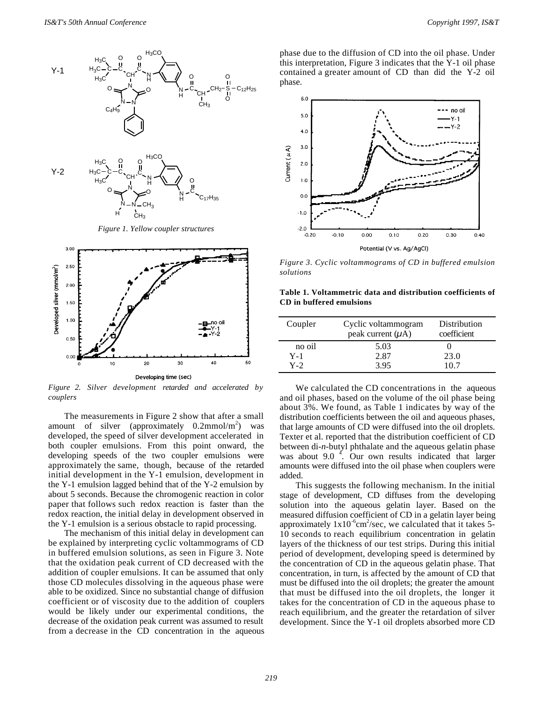

*Figure 1. Yellow coupler structures*



*Figure 2. Silver development retarded and accelerated by couplers*

The measurements in Figure 2 show that after a small amount of silver (approximately  $0.2$ mmol/m<sup>2</sup>) was developed, the speed of silver development accelerated in both coupler emulsions. From this point onward, the developing speeds of the two coupler emulsions were approximately the same, though, because of the retarded initial development in the Y-1 emulsion, development in the Y-1 emulsion lagged behind that of the Y-2 emulsion by about 5 seconds. Because the chromogenic reaction in color paper that follows such redox reaction is faster than the redox reaction, the initial delay in development observed in the Y-1 emulsion is a serious obstacle to rapid processing.

The mechanism of this initial delay in development can be explained by interpreting cyclic voltammograms of CD in buffered emulsion solutions, as seen in Figure 3. Note that the oxidation peak current of CD decreased with the addition of coupler emulsions. It can be assumed that only those CD molecules dissolving in the aqueous phase were able to be oxidized. Since no substantial change of diffusion coefficient or of viscosity due to the addition of couplers would be likely under our experimental conditions, the decrease of the oxidation peak current was assumed to result from a decrease in the CD concentration in the aqueous

phase due to the diffusion of CD into the oil phase. Under this interpretation, Figure 3 indicates that the Y-1 oil phase contained a greater amount of CD than did the Y-2 oil phase.



*Figure 3. Cyclic voltammograms of CD in buffered emulsion solutions*

**Table 1. Voltammetric data and distribution coefficients of CD in buffered emulsions**

| Coupler | Cyclic voltammogram<br>peak current $(\mu A)$ | Distribution<br>coefficient |
|---------|-----------------------------------------------|-----------------------------|
| no oil  | 5.03                                          |                             |
| $Y-1$   | 2.87                                          | 23.0                        |
| $Y-2$   | 3.95                                          | 10.7                        |

We calculated the CD concentrations in the aqueous and oil phases, based on the volume of the oil phase being about 3%. We found, as Table 1 indicates by way of the distribution coefficients between the oil and aqueous phases, that large amounts of CD were diffused into the oil droplets. Texter et al. reported that the distribution coefficient of CD between di-*n*-butyl phthalate and the aqueous gelatin phase was about 9.0  $\frac{4}{1}$ . Our own results indicated that larger amounts were diffused into the oil phase when couplers were added.

This suggests the following mechanism. In the initial stage of development, CD diffuses from the developing solution into the aqueous gelatin layer. Based on the measured diffusion coefficient of CD in a gelatin layer being approximately  $1x10^{-6}$ cm<sup>2</sup>/sec, we calculated that it takes 5-10 seconds to reach equilibrium concentration in gelatin layers of the thickness of our test strips. During this initial period of development, developing speed is determined by the concentration of CD in the aqueous gelatin phase. That concentration, in turn, is affected by the amount of CD that must be diffused into the oil droplets; the greater the amount that must be diffused into the oil droplets, the longer it takes for the concentration of CD in the aqueous phase to reach equilibrium, and the greater the retardation of silver development. Since the Y-1 oil droplets absorbed more CD